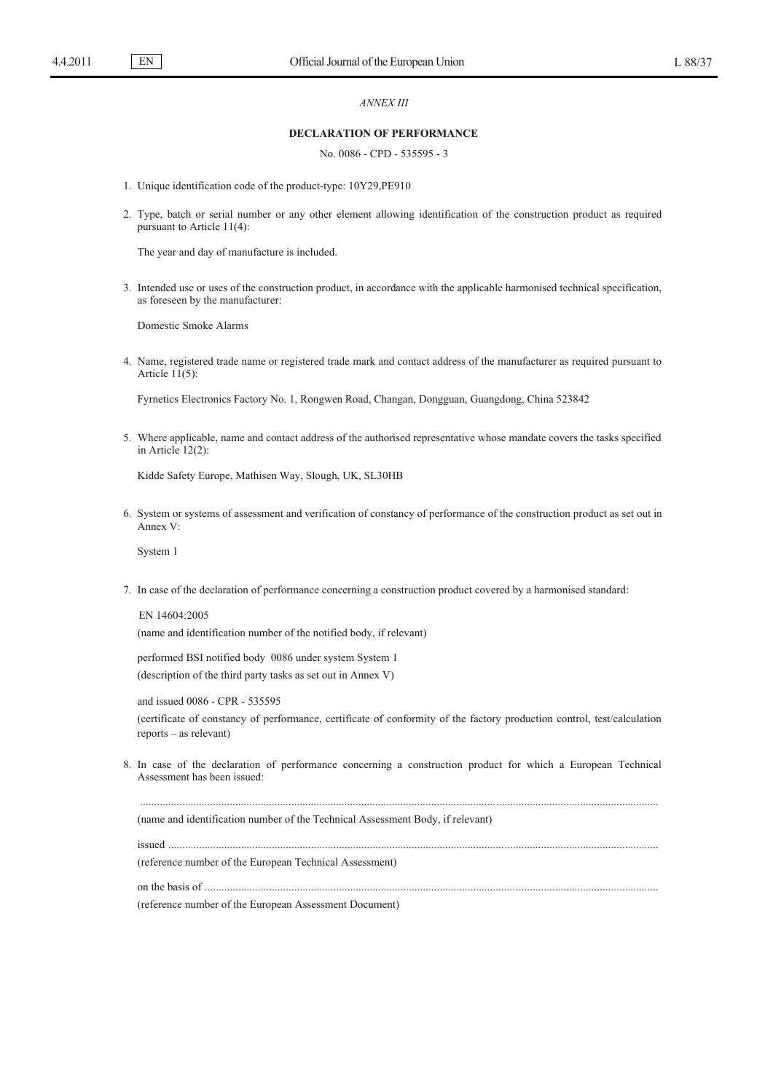EN

## *ANNEX III*

## **DECLARATION OF PERFORMANCE**

No. 0086 - CPD - 535595 - 3

- 1. Unique identification code of the product-type: 10Y29,PE910
- 2. Type, batch or serial number or any other element allowing identification of the construction product as required pursuant to Article 11(4):

The year and day of manufacture is included.

3. Intended use or uses of the construction product, in accordance with the applicable harmonised technical specification, as foreseen by the manufacturer:

Domestic Smoke Alarms

4. Name, registered trade name or registered trade mark and contact address of the manufacturer as required pursuant to Article  $11(5)$ :

Fyrnetics Electronics Factory No. 1, Rongwen Road, Changan, Dongguan, Guangdong, China 523842

5. Where applicable, name and contact address of the authorised representative whose mandate covers the tasks specified in Article 12(2):

Kidde Safety Europe, Mathisen Way, Slough, UK, SL30HB

6. System or systems of assessment and verification of constancy of performance of the construction product as set out in Annex V:

System 1

7. In case of the declaration of performance concerning a construction product covered by a harmonised standard:

EN 14604:2005 (name and identification number of the notified body, if relevant)

performed BSI notified body 0086 under system System 1 (description of the third party tasks as set out in Annex V)

and issued 0086 - CPR - 535595 (certificate of constancy of performance, certificate of conformity of the factory production control, test/calculation reports – as relevant)

8. In case of the declaration of performance concerning a construction product for which a European Technical Assessment has been issued:

.........................................................................................................................................................................................

(name and identification number of the Technical Assessment Body, if relevant)

issued ...............................................................................................................................................................................

(reference number of the European Technical Assessment)

on the basis of ..................................................................................................................................................................

(reference number of the European Assessment Document)